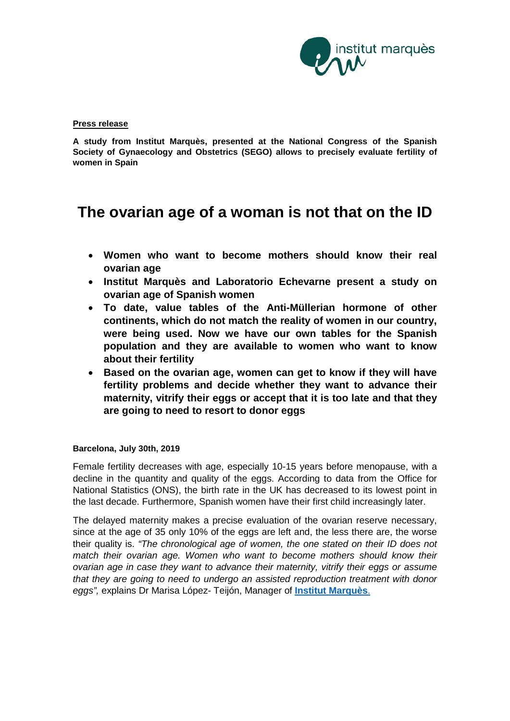

### **Press release**

**A study from Institut Marquès, presented at the National Congress of the Spanish Society of Gynaecology and Obstetrics (SEGO) allows to precisely evaluate fertility of women in Spain**

# **The ovarian age of a woman is not that on the ID**

- **Women who want to become mothers should know their real ovarian age**
- **Institut Marquès and Laboratorio Echevarne present a study on ovarian age of Spanish women**
- **To date, value tables of the Anti-Müllerian hormone of other continents, which do not match the reality of women in our country, were being used. Now we have our own tables for the Spanish population and they are available to women who want to know about their fertility**
- **Based on the ovarian age, women can get to know if they will have fertility problems and decide whether they want to advance their maternity, vitrify their eggs or accept that it is too late and that they are going to need to resort to donor eggs**

# **Barcelona, July 30th, 2019**

Female fertility decreases with age, especially 10-15 years before menopause, with a decline in the quantity and quality of the eggs. According to data from the Office for National Statistics (ONS), the birth rate in the UK has decreased to its lowest point in the last decade. Furthermore, Spanish women have their first child increasingly later.

The delayed maternity makes a precise evaluation of the ovarian reserve necessary, since at the age of 35 only 10% of the eggs are left and, the less there are, the worse their quality is. *"The chronological age of women, the one stated on their ID does not match their ovarian age. Women who want to become mothers should know their ovarian age in case they want to advance their maternity, vitrify their eggs or assume that they are going to need to undergo an assisted reproduction treatment with donor eggs",* explains Dr Marisa López- Teijón, Manager of **[Institut Marquès](https://institutomarques.com/en/)**.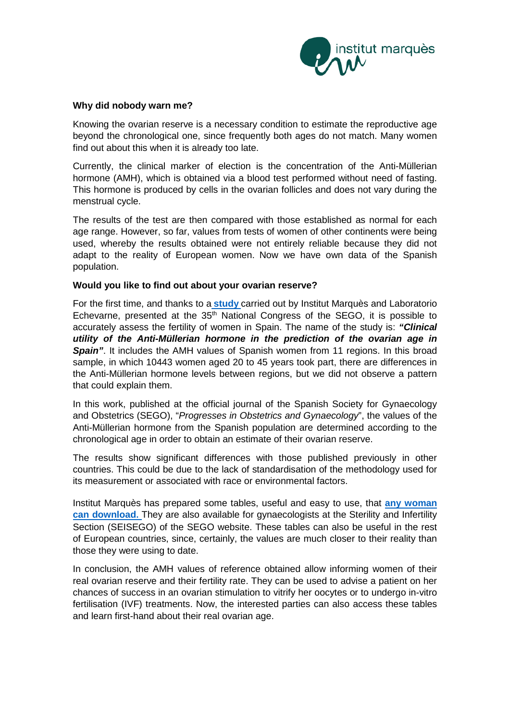

## **Why did nobody warn me?**

Knowing the ovarian reserve is a necessary condition to estimate the reproductive age beyond the chronological one, since frequently both ages do not match. Many women find out about this when it is already too late.

Currently, the clinical marker of election is the concentration of the Anti-Müllerian hormone (AMH), which is obtained via a blood test performed without need of fasting. This hormone is produced by cells in the ovarian follicles and does not vary during the menstrual cycle.

The results of the test are then compared with those established as normal for each age range. However, so far, values from tests of women of other continents were being used, whereby the results obtained were not entirely reliable because they did not adapt to the reality of European women. Now we have own data of the Spanish population.

# **Would you like to find out about your ovarian reserve?**

For the first time, and thanks to a **[study](https://institutomarques.com/wp-content/uploads/2019/05/AMH_RevistaSEGO_Progresos2017.pdf)** carried out by Institut Marquès and Laboratorio Echevarne, presented at the  $35<sup>th</sup>$  National Congress of the SEGO, it is possible to accurately assess the fertility of women in Spain. The name of the study is: *"Clinical utility of the Anti-Müllerian hormone in the prediction of the ovarian age in*  **Spain**". It includes the AMH values of Spanish women from 11 regions. In this broad sample, in which 10443 women aged 20 to 45 years took part, there are differences in the Anti-Müllerian hormone levels between regions, but we did not observe a pattern that could explain them.

In this work, published at the official journal of the Spanish Society for Gynaecology and Obstetrics (SEGO), "*Progresses in Obstetrics and Gynaecology*", the values of the Anti-Müllerian hormone from the Spanish population are determined according to the chronological age in order to obtain an estimate of their ovarian reserve.

The results show significant differences with those published previously in other countries. This could be due to the lack of standardisation of the methodology used for its measurement or associated with race or environmental factors.

Institut Marquès has prepared some tables, useful and easy to use, that **[any woman](https://institutomarques.com/wp-content/uploads/2019/06/Tablas-de-normalidad-Edad-AMH_IM_ENG.pdf)  [can download](https://institutomarques.com/wp-content/uploads/2019/06/Tablas-de-normalidad-Edad-AMH_IM_ENG.pdf).** They are also available for gynaecologists at the Sterility and Infertility Section (SEISEGO) of the SEGO website. These tables can also be useful in the rest of European countries, since, certainly, the values are much closer to their reality than those they were using to date.

In conclusion, the AMH values of reference obtained allow informing women of their real ovarian reserve and their fertility rate. They can be used to advise a patient on her chances of success in an ovarian stimulation to vitrify her oocytes or to undergo in-vitro fertilisation (IVF) treatments. Now, the interested parties can also access these tables and learn first-hand about their real ovarian age.